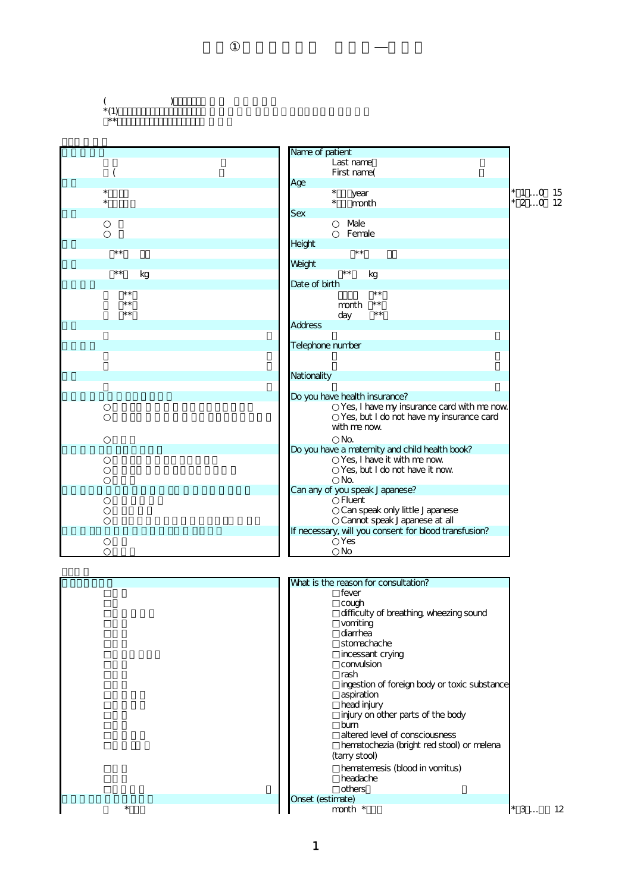## $\rightarrow$  $^{*}(1)$ (<br>\*(1)<br>\*\*

| Last name<br>First name(<br>Age<br>$\star$<br>$^\star$<br>$*$ 1 0 15<br>year<br>$\star$<br>$\star$<br>$20$ 12<br>month<br><b>Sex</b><br>Male<br>Female<br>Height<br>$**$<br>$\star\star$<br>Weight<br>$\star\,\star$<br>$***$<br>kg<br>kg |  |
|-------------------------------------------------------------------------------------------------------------------------------------------------------------------------------------------------------------------------------------------|--|
|                                                                                                                                                                                                                                           |  |
|                                                                                                                                                                                                                                           |  |
|                                                                                                                                                                                                                                           |  |
|                                                                                                                                                                                                                                           |  |
|                                                                                                                                                                                                                                           |  |
|                                                                                                                                                                                                                                           |  |
|                                                                                                                                                                                                                                           |  |
|                                                                                                                                                                                                                                           |  |
|                                                                                                                                                                                                                                           |  |
|                                                                                                                                                                                                                                           |  |
|                                                                                                                                                                                                                                           |  |
| Date of birth                                                                                                                                                                                                                             |  |
| $***$<br>$\star\star$                                                                                                                                                                                                                     |  |
| $\star\star$<br>$***$<br>month                                                                                                                                                                                                            |  |
| $***$<br>$\star\,\star$<br>day                                                                                                                                                                                                            |  |
| <b>Address</b>                                                                                                                                                                                                                            |  |
|                                                                                                                                                                                                                                           |  |
| Telephone number                                                                                                                                                                                                                          |  |
|                                                                                                                                                                                                                                           |  |
| Nationality                                                                                                                                                                                                                               |  |
|                                                                                                                                                                                                                                           |  |
| Do you have health insurance?                                                                                                                                                                                                             |  |
| Yes, I have my insurance card with me now                                                                                                                                                                                                 |  |
| Yes, but I do not have my insurance card                                                                                                                                                                                                  |  |
| with me now                                                                                                                                                                                                                               |  |
| No.                                                                                                                                                                                                                                       |  |
| Do you have a maternity and child health book?                                                                                                                                                                                            |  |
| Yes, I have it with me now                                                                                                                                                                                                                |  |
| Yes, but I do not have it now                                                                                                                                                                                                             |  |
| No.                                                                                                                                                                                                                                       |  |
| Can any of you speak Japanese?                                                                                                                                                                                                            |  |
| <b>Fluent</b>                                                                                                                                                                                                                             |  |
| Can speak only little Japanese                                                                                                                                                                                                            |  |
| Cannot speak Japanese at all<br>If necessary, will you consent for blood transfusion?                                                                                                                                                     |  |
| Yes                                                                                                                                                                                                                                       |  |
| No                                                                                                                                                                                                                                        |  |
|                                                                                                                                                                                                                                           |  |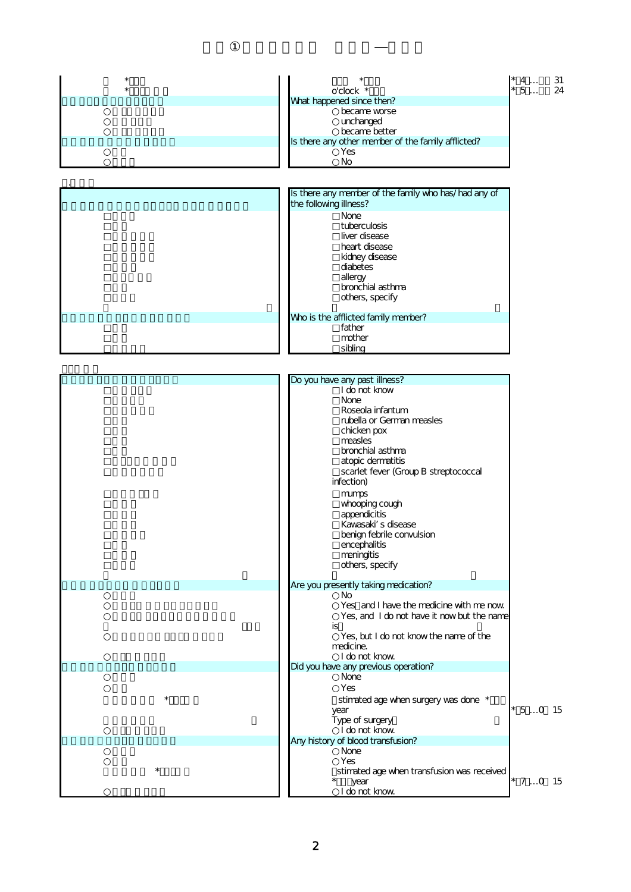|         |                                                       | $*$ 4      | 31 |
|---------|-------------------------------------------------------|------------|----|
|         | o'clock *                                             | 5          | 24 |
|         | What happened since then?                             |            |    |
|         | became worse                                          |            |    |
|         | unchanged<br>became better                            |            |    |
|         | Is there any other member of the family afflicted?    |            |    |
|         | Yes                                                   |            |    |
|         | No                                                    |            |    |
|         |                                                       |            |    |
|         | Is there any member of the family who has/had any of  |            |    |
|         | the following illness?                                |            |    |
|         | None                                                  |            |    |
|         | tuberculosis<br>liver disease                         |            |    |
|         | heart disease                                         |            |    |
|         | kidney disease                                        |            |    |
|         | diabetes                                              |            |    |
|         | allergy                                               |            |    |
|         | bronchial asthma                                      |            |    |
|         | others, specify                                       |            |    |
|         | Who is the afflicted family member?                   |            |    |
|         | father                                                |            |    |
|         | mother<br>sibling                                     |            |    |
|         |                                                       |            |    |
|         |                                                       |            |    |
|         | Do you have any past illness?                         |            |    |
|         | I do not know<br><b>None</b>                          |            |    |
|         | Roseola infantum                                      |            |    |
|         | rubella or German measles                             |            |    |
|         | chicken pox                                           |            |    |
|         | measles<br>bronchial asthma                           |            |    |
|         | atopic dermatitis                                     |            |    |
|         | scarlet fever (Group B streptococcal                  |            |    |
|         | infection)                                            |            |    |
|         | mumps                                                 |            |    |
|         | whooping cough<br>appendicitis                        |            |    |
|         | Kawasaki s disease                                    |            |    |
|         | benign febrile convulsion                             |            |    |
|         | encephalitis                                          |            |    |
|         | meningitis                                            |            |    |
|         | others, specify                                       |            |    |
|         | Are you presently taking medication?                  |            |    |
|         | No<br>Yes and I have the medicine with me now         |            |    |
|         | Yes, and I do not have it nowbut the name             |            |    |
|         | is                                                    |            |    |
|         | Yes, but I do not know the name of the                |            |    |
|         | medicine.                                             |            |    |
|         | I do not know<br>Did you have any previous operation? |            |    |
|         | None                                                  |            |    |
|         | Yes                                                   |            |    |
|         | stimated age when surgery was done *                  |            |    |
|         | year                                                  | $* 50 15$  |    |
|         | Type of surgery<br>I do not know                      |            |    |
|         | Any history of blood transfusion?                     |            |    |
|         | None                                                  |            |    |
| $\star$ | Yes                                                   |            |    |
|         | stimated age when transfusion was received<br>year    | $*$ 7 0 15 |    |
|         | I do not know                                         |            |    |
|         |                                                       |            |    |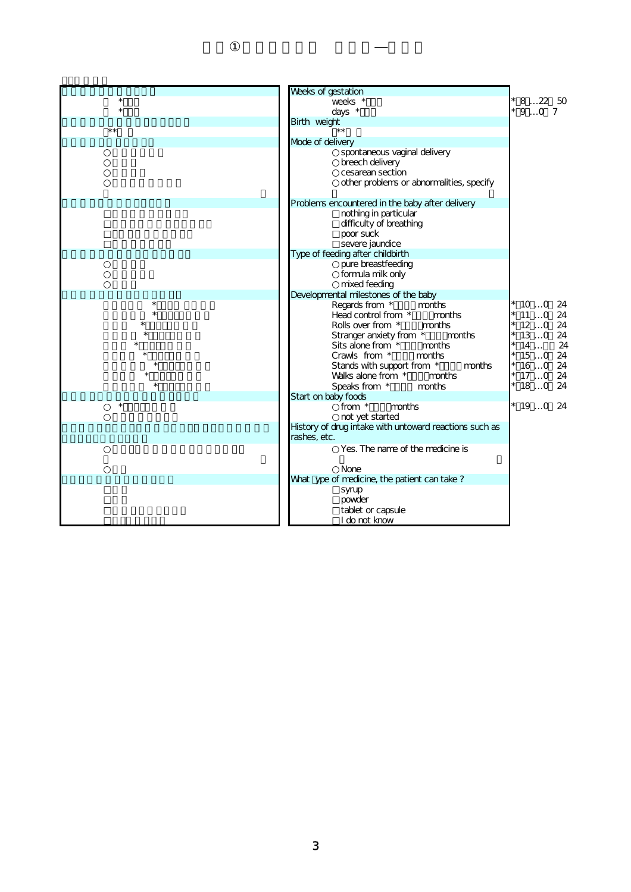| Weeks of gestation<br>$\star$<br>weeks <sup>*</sup><br>82250<br>$\star$<br>$*907$<br>days *<br>Birth weight<br>$\star\star$<br>$***$<br>Mode of delivery<br>spontaneous vaginal delivery<br>breech delivery<br>cesarean section<br>other problems or abnormalities, specify |     |
|-----------------------------------------------------------------------------------------------------------------------------------------------------------------------------------------------------------------------------------------------------------------------------|-----|
|                                                                                                                                                                                                                                                                             |     |
|                                                                                                                                                                                                                                                                             |     |
|                                                                                                                                                                                                                                                                             |     |
|                                                                                                                                                                                                                                                                             |     |
|                                                                                                                                                                                                                                                                             |     |
|                                                                                                                                                                                                                                                                             |     |
|                                                                                                                                                                                                                                                                             |     |
|                                                                                                                                                                                                                                                                             |     |
|                                                                                                                                                                                                                                                                             |     |
| Problems encountered in the baby after delivery                                                                                                                                                                                                                             |     |
| nothing in particular                                                                                                                                                                                                                                                       |     |
| difficulty of breathing                                                                                                                                                                                                                                                     |     |
| poor suck                                                                                                                                                                                                                                                                   |     |
| severe jaundice                                                                                                                                                                                                                                                             |     |
| Type of feeding after childbirth                                                                                                                                                                                                                                            |     |
| pure breastfeeding                                                                                                                                                                                                                                                          |     |
| formula milk only                                                                                                                                                                                                                                                           |     |
| mixed feeding                                                                                                                                                                                                                                                               |     |
| Developmental milestones of the baby                                                                                                                                                                                                                                        |     |
| Regards from *<br>months<br>$*$ 10 $$ 0                                                                                                                                                                                                                                     | -24 |
| $*$ 11 $$ 0<br>Head control from *<br>months                                                                                                                                                                                                                                | -24 |
| Rolls over from *<br>months<br>$120$ 24<br>$130$ 24                                                                                                                                                                                                                         |     |
| Stranger anxiety from *<br>months<br>14<br>Sits alone from *<br>months                                                                                                                                                                                                      | 24  |
| $150$ 24<br>Crawls from *<br>months                                                                                                                                                                                                                                         |     |
| $160$ 24<br>Stands with support from *<br>months                                                                                                                                                                                                                            |     |
| $*$ 17 0 24<br>Walks alone from *<br>months                                                                                                                                                                                                                                 |     |
| $180$ 24<br>Speaks from *<br>months                                                                                                                                                                                                                                         |     |
| Start on baby foods                                                                                                                                                                                                                                                         |     |
| $\star$<br>from *<br>months<br>$*$ 19 0 24                                                                                                                                                                                                                                  |     |
| not yet started                                                                                                                                                                                                                                                             |     |
| History of drug intake with untoward reactions such as                                                                                                                                                                                                                      |     |
| rashes, etc.                                                                                                                                                                                                                                                                |     |
| Yes. The name of the medicine is                                                                                                                                                                                                                                            |     |
| <b>None</b>                                                                                                                                                                                                                                                                 |     |
| What ype of medicine, the patient can take?                                                                                                                                                                                                                                 |     |
| syrup                                                                                                                                                                                                                                                                       |     |
| powder                                                                                                                                                                                                                                                                      |     |
| tablet or capsule                                                                                                                                                                                                                                                           |     |
| I do not know                                                                                                                                                                                                                                                               |     |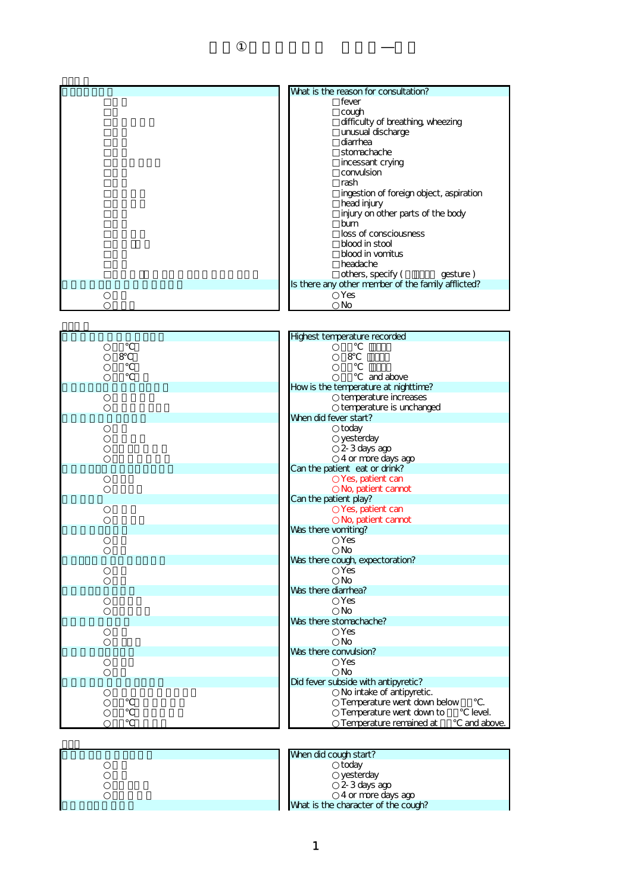| What is the reason for consultation?               |
|----------------------------------------------------|
| fever                                              |
| cough                                              |
| difficulty of breathing, wheezing                  |
| unusual discharge                                  |
| diarrhea                                           |
| stomachache                                        |
| incessant crying                                   |
| convulsion                                         |
| rash                                               |
| ingestion of foreign object, aspiration            |
| head injury                                        |
| injury on other parts of the body                  |
| bum                                                |
| loss of consciousness                              |
| blood in stool                                     |
| blood in vomitus                                   |
| headache                                           |
| others, specify (<br>gesture)                      |
| Is there any other member of the family afflicted? |
| Yes                                                |
| No                                                 |

|   | Highest temperature recorded                      |            |
|---|---------------------------------------------------|------------|
|   |                                                   |            |
| 8 | 8                                                 |            |
|   |                                                   |            |
|   | and above<br>How is the temperature at nighttime? |            |
|   | temperature increases                             |            |
|   | temperature is unchanged                          |            |
|   | When did fever start?                             |            |
|   | today                                             |            |
|   | yesterday                                         |            |
|   | 2-3 days ago                                      |            |
|   | 4 or more days ago                                |            |
|   | Can the patient eat or drink?                     |            |
|   | Yes, patient can                                  |            |
|   | No, patient cannot                                |            |
|   | Can the patient play?                             |            |
|   | Yes, patient can                                  |            |
|   | No, patient cannot                                |            |
|   | Was there vomiting?<br>Yes                        |            |
|   | <b>No</b>                                         |            |
|   | Was there cough, expectoration?                   |            |
|   | <b>Yes</b>                                        |            |
|   | <b>No</b>                                         |            |
|   | Was there diarrhea?                               |            |
|   | Yes                                               |            |
|   | <b>No</b>                                         |            |
|   | Was there stomachache?                            |            |
|   | Yes                                               |            |
|   | <b>No</b><br>Was there convulsion?                |            |
|   | <b>Yes</b>                                        |            |
|   | <b>No</b>                                         |            |
|   | Did fever subside with antipyretic?               |            |
|   | No intake of antipyretic.                         |            |
|   | Temperature went down below                       |            |
|   | Temperature went down to                          | level.     |
|   | Temperature remained at                           | and above. |
|   |                                                   |            |

| When did cough start?               |
|-------------------------------------|
| today                               |
| yesterday                           |
| 2-3 days ago                        |
| 4 or more days ago                  |
| What is the character of the cough? |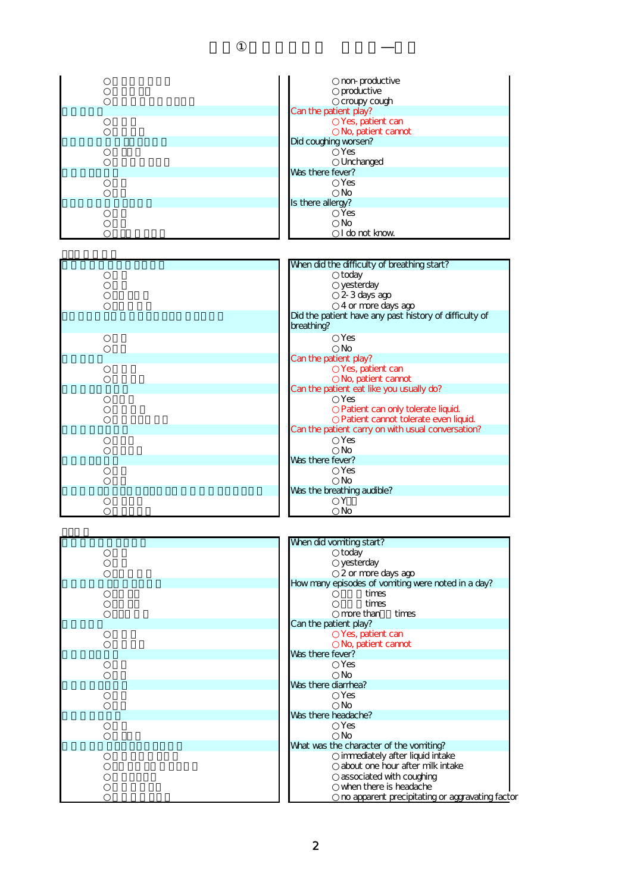| non-productive<br>productive<br>croupy cough |
|----------------------------------------------|
| Can the patient play?                        |
| Yes, patient can<br>No, patient cannot       |
| Did coughing worsen?                         |
| Yes<br>Unchanged                             |
| Was there fever?                             |
| <b>Yes</b><br><b>No</b>                      |
| Is there allergy?                            |
| Yes<br>No<br>I do not know                   |

| When did the difficulty of breathing start?         |
|-----------------------------------------------------|
| today                                               |
| yesterday                                           |
| 2-3 days ago<br>4 or more days ago                  |
| Did the patient have any past history of difficulty |
| breathing?                                          |
| Yes                                                 |
| No                                                  |
| Can the patient play?                               |
| Yes, patient can                                    |
| No, patient cannot                                  |
| Can the patient eat like you usually do?            |
| <b>Yes</b>                                          |
| Patient can only tolerate liquid.                   |
| Patient cannot tolerate even liquid.                |
| Can the patient carry on with usual conversation?   |
| <b>Yes</b>                                          |
| <b>No</b>                                           |
| Was there fever?                                    |
| <b>Yes</b>                                          |
| No                                                  |
| Was the breathing audible?                          |
|                                                     |
| No                                                  |

| When did the difficulty of breathing start?                          |  |
|----------------------------------------------------------------------|--|
| today                                                                |  |
| yesterday                                                            |  |
| 2-3 days ago                                                         |  |
| 4 or more days ago                                                   |  |
| Did the patient have any past history of difficulty of<br>breathing? |  |
| Yes                                                                  |  |
| Nο                                                                   |  |
| Can the patient play?                                                |  |
| Yes, patient can                                                     |  |
| No, patient cannot                                                   |  |
| Can the patient eat like you usually do?                             |  |
| Yes                                                                  |  |
| Patient can only tolerate liquid.                                    |  |
| Patient cannot tolerate even liquid.                                 |  |
| Can the patient carry on with usual conversation?                    |  |
| Yes                                                                  |  |
| Nο                                                                   |  |
| Was there fever?                                                     |  |
| Yes                                                                  |  |
| Nο                                                                   |  |
| Was the breathing audible?                                           |  |
|                                                                      |  |
| No                                                                   |  |



| When did vomiting start?                           |
|----------------------------------------------------|
| today                                              |
| yesterday                                          |
| 2 or more days ago                                 |
| How many episodes of vomiting were noted in a day? |
| times                                              |
| times                                              |
| more than times                                    |
| Can the patient play?                              |
| Yes, patient can                                   |
| No, patient cannot                                 |
| Was there fever?                                   |
| Yes                                                |
| <b>No</b>                                          |
| Was there diarrhea?                                |
| Yes                                                |
| No                                                 |
| Was there headache?                                |
| Yes                                                |
| No                                                 |
| What was the character of the vomiting?            |
| immediately after liquid intake                    |
| about one hour after milk intake                   |
| associated with coughing                           |
| when there is headache                             |
| no apparent precipitating or aggravating factor    |
|                                                    |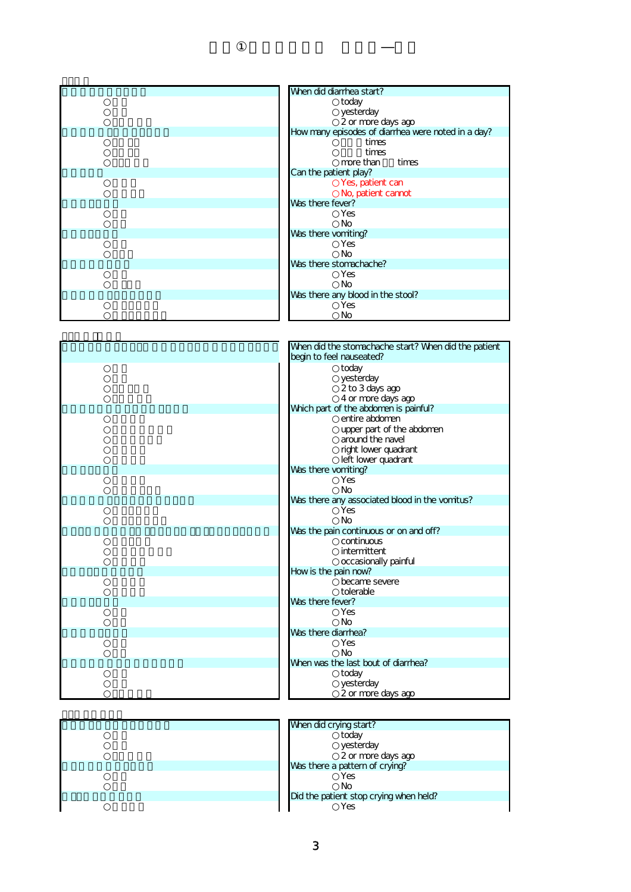| When did diarrhea start?                           |
|----------------------------------------------------|
|                                                    |
| today                                              |
| yesterday                                          |
| 2 or more days ago                                 |
| How many episodes of diarrhea were noted in a day? |
| times                                              |
| times                                              |
| more than<br>times                                 |
| Can the patient play?                              |
| Yes, patient can                                   |
| No, patient cannot                                 |
| Was there fever?                                   |
| Yes                                                |
| <b>No</b>                                          |
| Was there vomiting?                                |
| Yes                                                |
| <b>No</b>                                          |
| Was there stomachache?                             |
| Yes                                                |
| <b>No</b>                                          |
| Was there any blood in the stool?                  |
| Yes                                                |
| No                                                 |

| When did the stomachache start? When did the patient  |
|-------------------------------------------------------|
| begin to feel nauseated?                              |
| today                                                 |
| yesterday                                             |
| 2 to 3 days ago                                       |
| 4 or more days ago                                    |
| Which part of the abdomen is painful?                 |
| entire abdomen                                        |
| upper part of the abdomen                             |
| around the navel                                      |
| right lower quadrant                                  |
| left lower quadrant                                   |
| Was there vomiting?                                   |
| Yes                                                   |
| <b>No</b>                                             |
| Was there any associated blood in the vomitus?<br>Yes |
| <b>No</b>                                             |
| Was the pain continuous or on and off?                |
| continuous                                            |
| intermittent                                          |
| occasionally painful                                  |
| How is the pain now?                                  |
| became severe                                         |
| tolerable                                             |
| Was there fever?                                      |
| Yes                                                   |
| <b>No</b>                                             |
| Was there diarrhea?                                   |
| Yes                                                   |
| <b>No</b>                                             |
| When was the last bout of diarrhea?                   |
| today                                                 |
| yesterday                                             |
| 2 or more days ago                                    |

| ZUI IIUI CUQYS QUU                     |
|----------------------------------------|
|                                        |
| When did crying start?                 |
| today                                  |
| yesterday                              |
| 2 or more days ago                     |
| Was there a pattern of crying?         |
| Yes                                    |
| No                                     |
| Did the patient stop crying when held? |
| Yes                                    |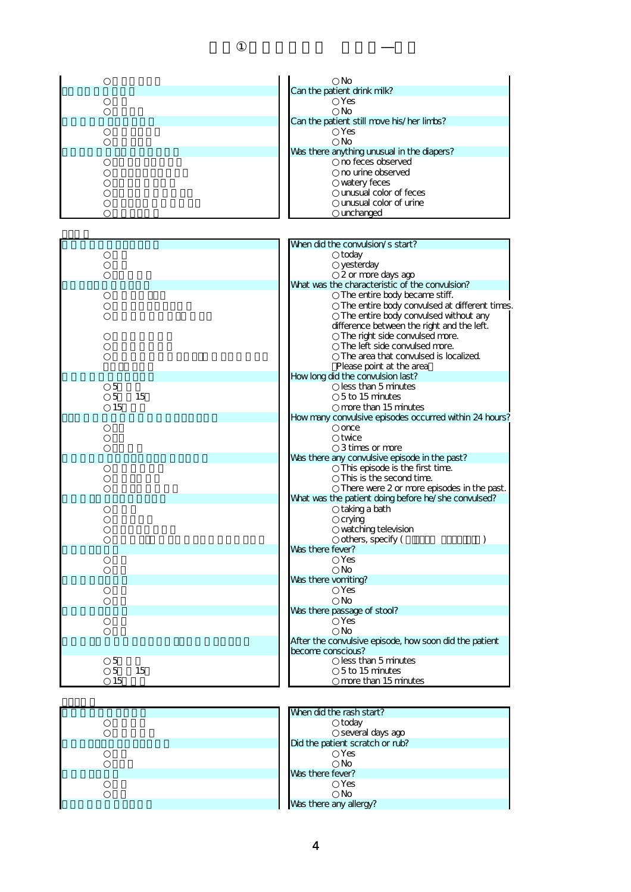|         | No                                                     |
|---------|--------------------------------------------------------|
|         | Can the patient drink milk?                            |
|         | Yes                                                    |
|         | <b>No</b>                                              |
|         | Can the patient still move his/her limbs?              |
|         | Yes                                                    |
|         | <b>No</b>                                              |
|         | Was there anything unusual in the diapers?             |
|         | no feces observed                                      |
|         | no urine observed                                      |
|         | watery feces                                           |
|         | unusual color of feces                                 |
|         | unusual color of urine                                 |
|         | unchanged                                              |
|         |                                                        |
|         |                                                        |
|         | When did the convulsion/s start?                       |
|         | today                                                  |
|         | yesterday                                              |
|         | 2 or more days ago                                     |
|         | What was the characteristic of the convulsion?         |
|         | The entire body became stiff.                          |
|         | The entire body convulsed at different times.          |
|         | The entire body convulsed without any                  |
|         | difference between the right and the left.             |
|         | The right side convulsed more.                         |
|         | The left side convulsed more.                          |
|         | The area that convulsed is localized.                  |
|         | Please point at the area                               |
|         | Howlong did the convulsion last?                       |
| 5       | less than 5 minutes                                    |
| 5<br>15 | 5 to 15 minutes                                        |
| 15      | more than 15 minutes                                   |
|         | How many convulsive episodes occurred within 24 hours? |
|         | once                                                   |
|         | twice                                                  |
|         |                                                        |
|         | 3 times or more                                        |
|         | Was there any convulsive episode in the past?          |
|         | This episode is the first time.                        |
|         | This is the second time.                               |
|         | There were 2 or more episodes in the past.             |
|         | What was the patient doing before he/she convulsed?    |
|         | taking a bath                                          |
|         | crying                                                 |
|         | watching television                                    |
|         | others, specify (<br>)                                 |
|         | was there fever?                                       |
|         | Yes                                                    |
|         | No                                                     |
|         | Was there vomiting?                                    |
|         | Yes                                                    |
|         | <b>No</b>                                              |
|         | Was there passage of stool?                            |
|         | Yes                                                    |
|         | <b>No</b>                                              |
|         | After the convulsive episode, how soon did the patient |
|         | become conscious?                                      |
| 5       | less than 5 minutes                                    |
| 5<br>15 | 5 to 15 minutes                                        |
| 15      | more than 15 minutes                                   |
|         |                                                        |

| When did the rash start?        |
|---------------------------------|
| today                           |
| several days ago                |
| Did the patient scratch or rub? |
| Yes                             |
| No                              |
| Was there fever?                |
| Yes                             |
| No                              |
| Was there any allergy?          |
|                                 |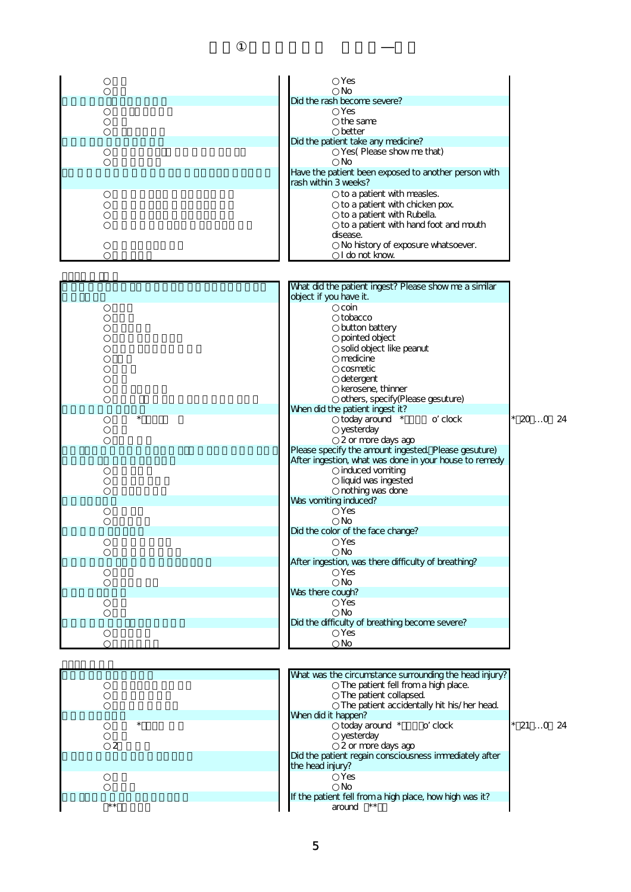|                         | Yes                                                                             |             |
|-------------------------|---------------------------------------------------------------------------------|-------------|
|                         | No                                                                              |             |
|                         | Did the rash become severe?                                                     |             |
|                         | Yes                                                                             |             |
|                         | the same<br>better                                                              |             |
|                         | Did the patient take any medicine?                                              |             |
|                         | Yes(Please show me that)                                                        |             |
|                         | No                                                                              |             |
|                         | Have the patient been exposed to another person with<br>rash within 3 weeks?    |             |
|                         | to a patient with measles.                                                      |             |
|                         | to a patient with chicken pox.                                                  |             |
|                         | to a patient with Rubella.                                                      |             |
|                         | to a patient with hand foot and mouth                                           |             |
|                         | disease.                                                                        |             |
|                         | No history of exposure whatsoever.<br>I do not know                             |             |
|                         |                                                                                 |             |
|                         |                                                                                 |             |
|                         | What did the patient ingest? Please show me a similar<br>object if you have it. |             |
|                         | coin                                                                            |             |
|                         | tobacco                                                                         |             |
|                         | button battery                                                                  |             |
|                         | pointed object                                                                  |             |
|                         | solid object like peanut                                                        |             |
|                         | medicine                                                                        |             |
|                         | cosmetic                                                                        |             |
|                         | detergent<br>kerosene, thinner                                                  |             |
|                         | others, specify(Please gesuture)                                                |             |
|                         | When did the patient ingest it?                                                 |             |
| $\star$                 | today around *<br>o clock                                                       | $*$ 20 0 24 |
|                         | yesterday                                                                       |             |
|                         | 2 or more days ago                                                              |             |
|                         | Please specify the amount ingested. Please gesuture)                            |             |
|                         | After ingestion, what was done in your house to remedy                          |             |
|                         | induced vomiting                                                                |             |
|                         | liquid was ingested                                                             |             |
|                         | nothing was done<br>Was vomiting induced?                                       |             |
|                         | Yes                                                                             |             |
|                         | No                                                                              |             |
|                         | Did the color of the face change?                                               |             |
|                         | Yes                                                                             |             |
|                         | No                                                                              |             |
|                         | After ingestion, was there difficulty of breathing?<br>Yes                      |             |
|                         | <b>No</b>                                                                       |             |
|                         | Was there cough?                                                                |             |
|                         | Yes                                                                             |             |
|                         | <b>No</b>                                                                       |             |
|                         | Did the difficulty of breathing become severe?                                  |             |
|                         | Yes                                                                             |             |
|                         | No                                                                              |             |
|                         |                                                                                 |             |
|                         | What was the circumstance surrounding the head injury?                          |             |
|                         | The patient fell from a high place.                                             |             |
|                         | The patient collapsed.                                                          |             |
|                         | The patient accidentally hit his/her head.                                      |             |
|                         | When did it happen?                                                             |             |
| $^\star$                | today around *<br>o clock                                                       | $*$ 21 0 24 |
|                         | yesterday                                                                       |             |
| $\overline{\mathbf{c}}$ | 2 or more days ago                                                              |             |
|                         | Did the patient regain consciousness immediately after<br>the head injury?      |             |
|                         | Yes                                                                             |             |
|                         | No                                                                              |             |

**Example 20 A high patient fell from a high place, how high was it?**  $\overline{\phantom{a}}$  around  $\overline{\phantom{a}}$  around  $\overline{\phantom{a}}$  around  $\overline{\phantom{a}}$  around  $\overline{\phantom{a}}$  around  $\overline{\phantom{a}}$ 

٦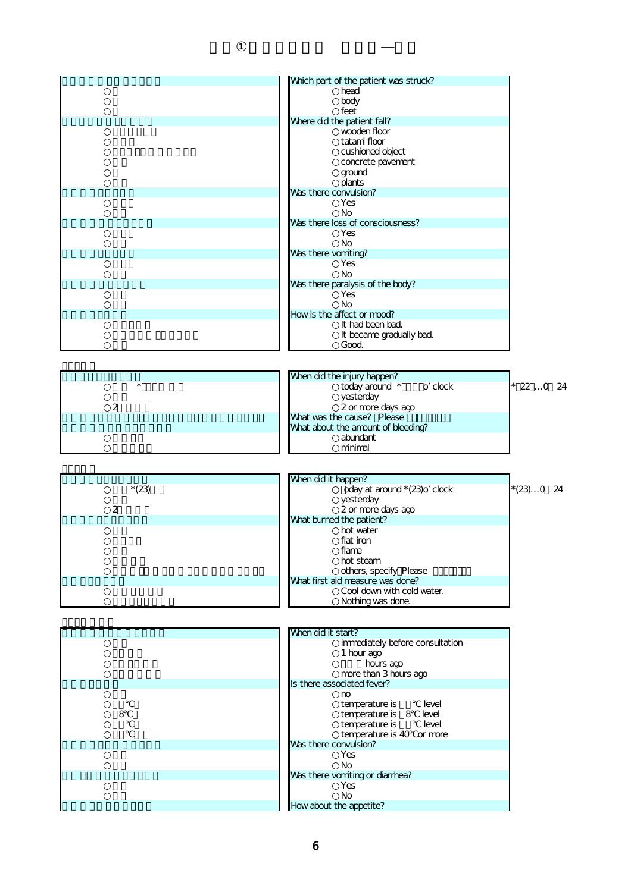|                         | Which part of the patient was struck? |             |
|-------------------------|---------------------------------------|-------------|
|                         | head                                  |             |
|                         | body                                  |             |
|                         | feet                                  |             |
|                         | Where did the patient fall?           |             |
|                         | wooden floor                          |             |
|                         | tatami floor                          |             |
|                         | cushioned object                      |             |
|                         | concrete pavement                     |             |
|                         | ground                                |             |
|                         | plants                                |             |
|                         | Was there convulsion?                 |             |
|                         | Yes                                   |             |
|                         | <b>No</b>                             |             |
|                         | Was there loss of consciousness?      |             |
|                         | Yes                                   |             |
|                         |                                       |             |
|                         | No                                    |             |
|                         | Was there vomiting?                   |             |
|                         | Yes                                   |             |
|                         | <b>No</b>                             |             |
|                         | Was there paralysis of the body?      |             |
|                         | Yes                                   |             |
|                         | <b>No</b>                             |             |
|                         | How is the affect or mood?            |             |
|                         | It had been bad.                      |             |
|                         | It became gradually bad.              |             |
|                         | Good.                                 |             |
|                         |                                       |             |
|                         |                                       |             |
|                         | When did the injury happen?           |             |
| $\star$                 | o clock<br>today around *             | $220$ 24    |
|                         |                                       |             |
| $\overline{a}$          | yesterday                             |             |
|                         | 2 or more days ago                    |             |
|                         | What was the cause? Please            |             |
|                         | What about the amount of bleeding?    |             |
|                         |                                       |             |
|                         | abundant                              |             |
|                         | minimal                               |             |
|                         |                                       |             |
|                         |                                       |             |
|                         |                                       |             |
|                         | When did it happen?                   |             |
| $*(23)$                 | oday at around * (23) o clock         | $*(23)0$ 24 |
|                         | yesterday                             |             |
| $\overline{\mathbf{c}}$ | 2 or more days ago                    |             |
|                         | What burned the patient?              |             |
|                         | hot water                             |             |
|                         | flat iron                             |             |
|                         | flame                                 |             |
|                         | hot steam                             |             |
|                         | others, specify Please                |             |
|                         | What first aid measure was done?      |             |
|                         | Cool down with cold water.            |             |
|                         | Nothing was done.                     |             |
|                         |                                       |             |
|                         |                                       |             |
|                         |                                       |             |
|                         | When did it start?                    |             |
|                         | immediately before consultation       |             |
|                         | 1 hour ago                            |             |
|                         | hours ago                             |             |
|                         | more than 3 hours ago                 |             |
|                         | Is there associated fever?            |             |
|                         | mo                                    |             |
|                         | temperature is<br>level               |             |
| 8                       | temperature is 8<br>level             |             |
|                         | temperature is<br>level               |             |
|                         | temperature is 40 or more             |             |
|                         | Was there convulsion?                 |             |
|                         | Yes                                   |             |
|                         | No                                    |             |
|                         |                                       |             |
|                         | Was there vomiting or diarrhea?       |             |
|                         | Yes<br><b>No</b>                      |             |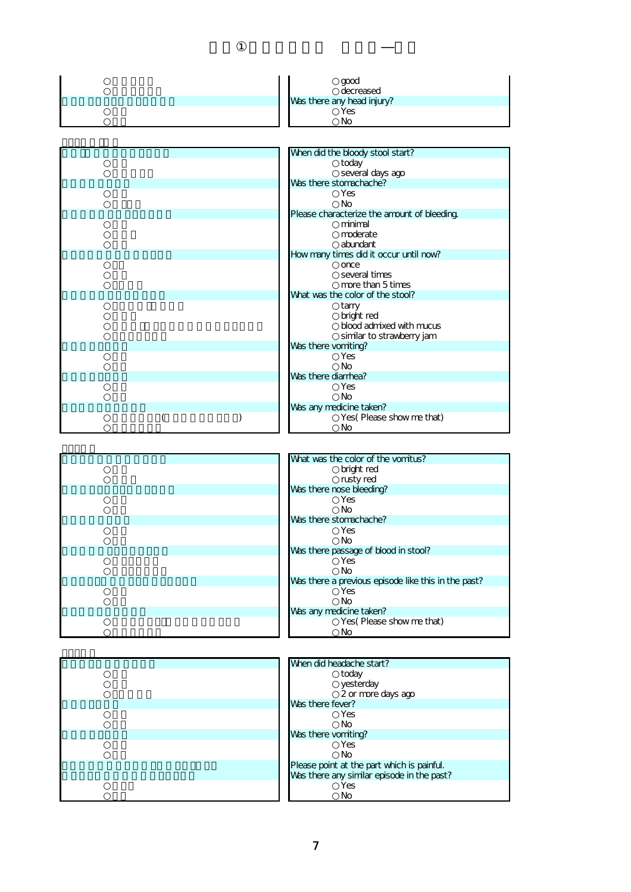| good<br>decreased          |
|----------------------------|
| Was there any head injury? |
| <b>Yes</b>                 |
| No                         |



| What was the color of the vomitus?                  |
|-----------------------------------------------------|
| bright red                                          |
| rusty red                                           |
| Was there nose bleeding?                            |
| <b>Yes</b>                                          |
| No.                                                 |
| Was there stomachache?                              |
| Yes                                                 |
| No.                                                 |
| Was there passage of blood in stool?                |
| <b>Yes</b>                                          |
| No                                                  |
| Was there a previous episode like this in the past? |
| <b>Yes</b>                                          |
| No                                                  |
| Was any medicine taken?                             |
| Yes (Please show me that)                           |
| No                                                  |

| What was the color of the vomitus?                  |
|-----------------------------------------------------|
| bright red                                          |
| rusty red                                           |
| Was there nose bleeding?                            |
| Yes                                                 |
| Nο                                                  |
| Was there stomachache?                              |
| Yes                                                 |
| Nο                                                  |
| Was there passage of blood in stool?                |
| Yes                                                 |
| No                                                  |
| Was there a previous episode like this in the past? |
| Yes                                                 |
| No                                                  |
| Was any medicine taken?                             |
| Yes(Please show me that)                            |
| Νo                                                  |

| When did headache start?                   |
|--------------------------------------------|
| today                                      |
| yesterday                                  |
| 2 or more days ago                         |
| Was there fever?                           |
| Yes                                        |
| No                                         |
| Was there vomiting?                        |
| Yes                                        |
| No                                         |
| Please point at the part which is painful. |
| Was there any similar episode in the past? |
| Yes                                        |
| No                                         |

| When did headache start?                   |  |
|--------------------------------------------|--|
| today                                      |  |
| yesterday                                  |  |
| 2 or more days ago                         |  |
| Was there fever?                           |  |
| Yes                                        |  |
| No                                         |  |
| Was there vomiting?                        |  |
| Yes                                        |  |
| Nο                                         |  |
| Please point at the part which is painful. |  |
| Was there any similar episode in the past? |  |
| Yes                                        |  |
| Nο                                         |  |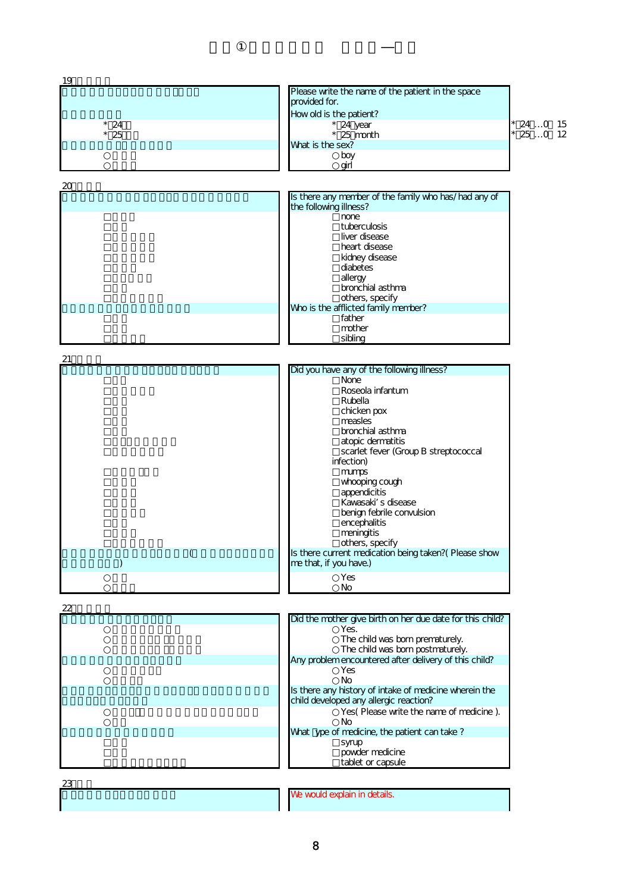| 19            |                                                                                |             |
|---------------|--------------------------------------------------------------------------------|-------------|
|               | Please write the name of the patient in the space                              |             |
|               | provided for.                                                                  |             |
|               | How old is the patient?                                                        |             |
| $*24$         | $*$ 24 year                                                                    | $*$ 24 0 15 |
| $*25$         | $*$ 25 month                                                                   | $* 250 12$  |
|               | What is the sex?<br>boy                                                        |             |
|               | girl                                                                           |             |
|               |                                                                                |             |
| 20            |                                                                                |             |
|               | Is there any member of the family who has/had any of<br>the following illness? |             |
|               | none<br>tuberculosis                                                           |             |
|               | liver disease                                                                  |             |
|               | heart disease                                                                  |             |
|               | kidney disease                                                                 |             |
|               | diabetes                                                                       |             |
|               | allergy<br>bronchial asthma                                                    |             |
|               | others, specify                                                                |             |
|               | Who is the afflicted family member?                                            |             |
|               | father                                                                         |             |
|               | mother                                                                         |             |
|               | sibling                                                                        |             |
| 21            |                                                                                |             |
|               | Did you have any of the following illness?                                     |             |
|               | <b>None</b>                                                                    |             |
|               | Roseola infantum                                                               |             |
|               | Rubella                                                                        |             |
|               | chicken pox                                                                    |             |
|               | measles                                                                        |             |
|               | bronchial asthma<br>atopic dermatitis                                          |             |
|               | scarlet fever (Group B streptococcal                                           |             |
|               | infection)                                                                     |             |
|               | mumps                                                                          |             |
|               | whooping cough                                                                 |             |
|               | appendicitis                                                                   |             |
|               | Kawasaki s disease                                                             |             |
|               | benign febrile convulsion                                                      |             |
|               | encephalitis<br>meningitis                                                     |             |
|               | others, specify                                                                |             |
| (             | Is there current medication being taken?( Please show                          |             |
| $\mathcal{C}$ | me that, if you have.)                                                         |             |
|               | Yes<br>No                                                                      |             |
| 22            |                                                                                |             |
|               | Did the mother give birth on her due date for this child?                      |             |
|               | Yes.                                                                           |             |
|               | The child was born prematurely.<br>The child was born postmaturely.            |             |
|               | Any problem encountered after delivery of this child?                          |             |
|               | <b>Yes</b>                                                                     |             |
|               | <b>No</b>                                                                      |             |
|               | Is there any history of intake of medicine wherein the                         |             |
|               | child developed any allergic reaction?                                         |             |
|               | Yes(Please write the name of medicine).<br>No                                  |             |
|               | What ype of medicine, the patient can take?                                    |             |
|               | syrup                                                                          |             |
|               | powder medicine                                                                |             |
|               | tablet or capsule                                                              |             |
| 23            |                                                                                |             |
|               | We would explain in details.                                                   |             |
|               |                                                                                |             |
|               |                                                                                |             |

8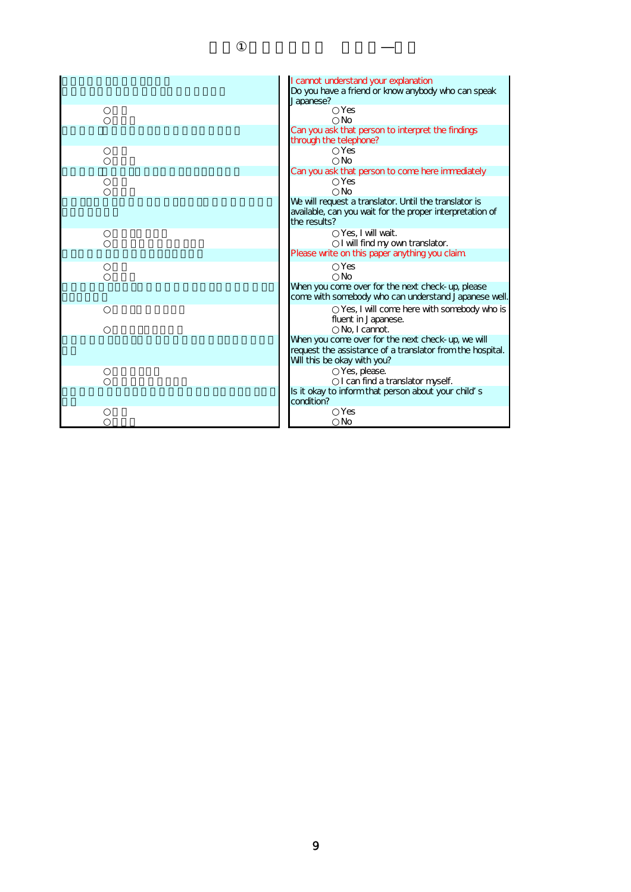| I cannot understand your explanation<br>Do you have a friend or know anybody who can speak<br>Japanese?                                       |
|-----------------------------------------------------------------------------------------------------------------------------------------------|
| Yes<br><b>No</b>                                                                                                                              |
| Can you ask that person to interpret the findings<br>through the telephone?                                                                   |
| Yes<br><b>No</b>                                                                                                                              |
| Can you ask that person to come here immediately<br>Yes<br><b>No</b>                                                                          |
| We will request a translator. Until the translator is<br>available, can you wait for the proper interpretation of<br>the results?             |
| Yes. I will wait.<br>I will find my own translator.                                                                                           |
| Please write on this paper anything you claim                                                                                                 |
| Yes<br><b>No</b>                                                                                                                              |
| When you come over for the next check-up, please<br>come with somebody who can understand Japanese well.                                      |
| Yes, I will come here with somebody who is<br>fluent in Japanese.<br>No. I cannot.                                                            |
| When you come over for the next check-up, we will<br>request the assistance of a translator from the hospital.<br>Will this be okay with you? |
| Yes, please.<br>I can find a translator myself.                                                                                               |
| Is it okay to inform that person about your child s<br>condition?                                                                             |
| Yes<br>No                                                                                                                                     |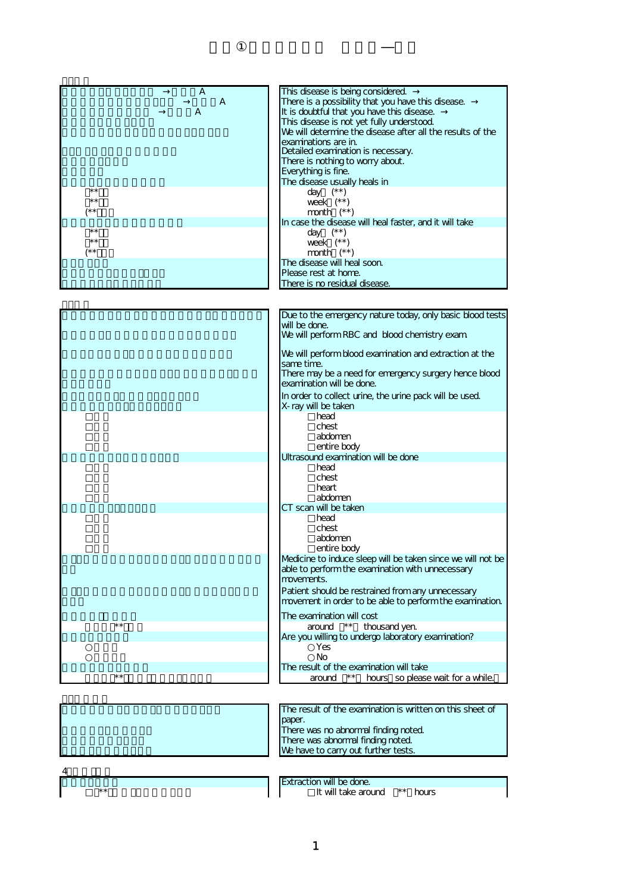| A<br>A<br>A<br>$***$<br>$\star\star$<br>/* *<br>$***$ | This disease is being considered.<br>There is a possibility that you have this disease.<br>It is doubtful that you have this disease.<br>This disease is not yet fully understood.<br>We will determine the disease after all the results of the<br>examinations are in.<br>Detailed examination is necessary.<br>There is nothing to worry about.<br>Everything is fine.<br>The disease usually heals in<br>day $(**)$<br>week $(**)$<br>month $(**)$<br>In case the disease will heal faster, and it will take<br>day $(**)$ |
|-------------------------------------------------------|--------------------------------------------------------------------------------------------------------------------------------------------------------------------------------------------------------------------------------------------------------------------------------------------------------------------------------------------------------------------------------------------------------------------------------------------------------------------------------------------------------------------------------|
| $\star\star$<br>$(* *$                                | week $(**)$<br>month $(**)$                                                                                                                                                                                                                                                                                                                                                                                                                                                                                                    |
|                                                       | The disease will heal soon.<br>Please rest at home.                                                                                                                                                                                                                                                                                                                                                                                                                                                                            |
|                                                       | There is no residual disease.                                                                                                                                                                                                                                                                                                                                                                                                                                                                                                  |
|                                                       |                                                                                                                                                                                                                                                                                                                                                                                                                                                                                                                                |
|                                                       | Due to the emergency nature today, only basic blood tests<br>will be done.                                                                                                                                                                                                                                                                                                                                                                                                                                                     |
|                                                       | We will perform RBC and blood chemistry exam                                                                                                                                                                                                                                                                                                                                                                                                                                                                                   |
|                                                       | We will perform blood examination and extraction at the<br>same time.                                                                                                                                                                                                                                                                                                                                                                                                                                                          |
|                                                       | There may be a need for emergency surgery hence blood<br>examination will be done.                                                                                                                                                                                                                                                                                                                                                                                                                                             |
|                                                       | In order to collect urine, the urine pack will be used.                                                                                                                                                                                                                                                                                                                                                                                                                                                                        |
|                                                       | X-ray will be taken<br>head                                                                                                                                                                                                                                                                                                                                                                                                                                                                                                    |
|                                                       | chest                                                                                                                                                                                                                                                                                                                                                                                                                                                                                                                          |
|                                                       | abdomen<br>entire body                                                                                                                                                                                                                                                                                                                                                                                                                                                                                                         |
|                                                       | Ultrasound examination will be done                                                                                                                                                                                                                                                                                                                                                                                                                                                                                            |
|                                                       | head<br>chest                                                                                                                                                                                                                                                                                                                                                                                                                                                                                                                  |
|                                                       | heart<br>abdomen                                                                                                                                                                                                                                                                                                                                                                                                                                                                                                               |
|                                                       | CT scan will be taken                                                                                                                                                                                                                                                                                                                                                                                                                                                                                                          |
|                                                       | head<br>chest<br>abdomen<br>entire body                                                                                                                                                                                                                                                                                                                                                                                                                                                                                        |
|                                                       | Medicine to induce sleep will be taken since we will not be<br>able to perform the examination with unnecessary<br>movements.                                                                                                                                                                                                                                                                                                                                                                                                  |
|                                                       | Patient should be restrained from any unnecessary<br>movement in order to be able to perform the examination.                                                                                                                                                                                                                                                                                                                                                                                                                  |
| $***$                                                 | The examination will cost<br>around $**$                                                                                                                                                                                                                                                                                                                                                                                                                                                                                       |
|                                                       | thousand yen.<br>Are you willing to undergo laboratory examination?                                                                                                                                                                                                                                                                                                                                                                                                                                                            |
|                                                       | Yes<br>No                                                                                                                                                                                                                                                                                                                                                                                                                                                                                                                      |
|                                                       | The result of the examination will take                                                                                                                                                                                                                                                                                                                                                                                                                                                                                        |
| $***$                                                 | $***$<br>hours so please wait for a while.<br>around                                                                                                                                                                                                                                                                                                                                                                                                                                                                           |
|                                                       |                                                                                                                                                                                                                                                                                                                                                                                                                                                                                                                                |
|                                                       | The result of the examination is written on this sheet of<br>paper.                                                                                                                                                                                                                                                                                                                                                                                                                                                            |
|                                                       | There was no abnormal finding noted.                                                                                                                                                                                                                                                                                                                                                                                                                                                                                           |
|                                                       | There was abnormal finding noted.<br>We have to carry out further tests.                                                                                                                                                                                                                                                                                                                                                                                                                                                       |
|                                                       |                                                                                                                                                                                                                                                                                                                                                                                                                                                                                                                                |
|                                                       |                                                                                                                                                                                                                                                                                                                                                                                                                                                                                                                                |
| $***$                                                 | Extraction will be done.<br>It will take around<br>** hours                                                                                                                                                                                                                                                                                                                                                                                                                                                                    |
|                                                       |                                                                                                                                                                                                                                                                                                                                                                                                                                                                                                                                |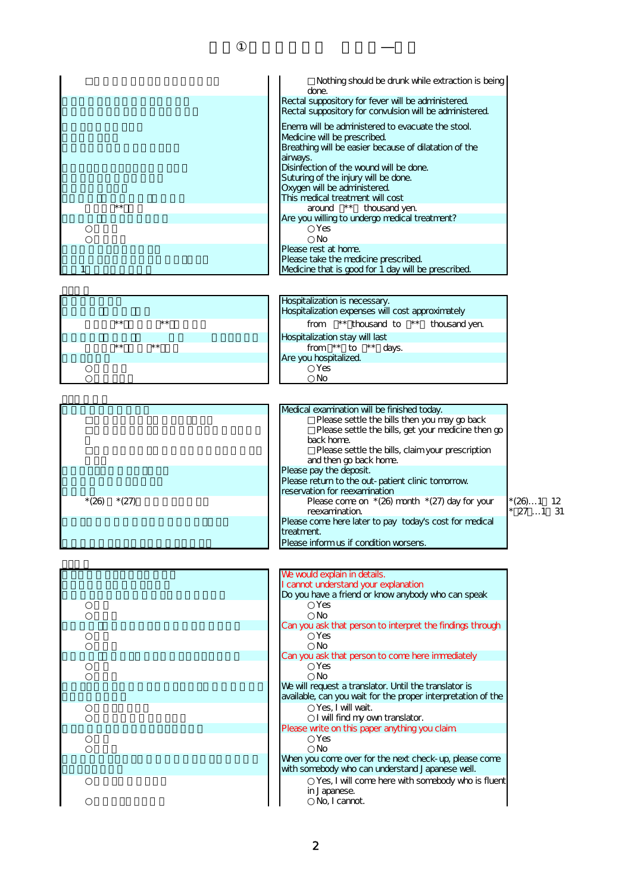|                    | Nothing should be drunk while extraction is being<br>done.                           |
|--------------------|--------------------------------------------------------------------------------------|
|                    | Rectal suppository for fever will be administered.                                   |
|                    | Rectal suppository for convulsion will be administered.                              |
|                    |                                                                                      |
|                    | Enema will be administered to evacuate the stool.                                    |
|                    | Medicine will be prescribed.                                                         |
|                    | Breathing will be easier because of dilatation of the                                |
|                    | airways.                                                                             |
|                    | Disinfection of the wound will be done.                                              |
|                    | Suturing of the injury will be done.                                                 |
|                    | Oxygen will be administered.                                                         |
|                    | This medical treatment will cost                                                     |
| $* *$              | around ** thousand yen.                                                              |
|                    | Are you willing to undergo medical treatment?                                        |
|                    | Yes                                                                                  |
|                    | <b>No</b>                                                                            |
|                    | Please rest at home.                                                                 |
|                    | Please take the medicine prescribed.                                                 |
| 1                  | Medicine that is good for 1 day will be prescribed.                                  |
|                    | Hospitalization is necessary.<br>Hospitalization expenses will cost approximately    |
| $***$<br>$* *$     | ** thousand to ** thousand yen.<br>from                                              |
|                    | Hospitalization stay will last                                                       |
| $***$<br>$***$     | from $**$ to $**$ days.                                                              |
|                    | Are you hospitalized.                                                                |
|                    | Yes                                                                                  |
|                    | No                                                                                   |
|                    |                                                                                      |
|                    | Medical examination will be finished today.                                          |
|                    | Please settle the bills then you may go back                                         |
|                    | Please settle the bills, get your medicine then go                                   |
|                    | back home.                                                                           |
|                    | Please settle the bills, claim your prescription                                     |
|                    | and then go back home.                                                               |
|                    | Please pay the deposit.                                                              |
|                    | Please return to the out-patient clinic tomorrow                                     |
|                    | reservation for reexamination                                                        |
| $*(26)$<br>$*(27)$ | * (26)1 12                                                                           |
|                    | Please come on $*(26)$ month $*(27)$ day for your                                    |
|                    | $271$ 31<br>reexamination.<br>Please come here later to pay today's cost for medical |

treatment.

| We would explain in details.<br>I cannot understand your explanation                                                  |
|-----------------------------------------------------------------------------------------------------------------------|
| Do you have a friend or know anybody who can speak                                                                    |
| Yes<br><b>No</b>                                                                                                      |
| Can you ask that person to interpret the findings through<br>Yes<br>No                                                |
| Can you ask that person to come here immediately<br>Yes<br>No                                                         |
| We will request a translator. Until the translator is<br>available, can you wait for the proper interpretation of the |
| Yes, I will wait.<br>I will find my own translator.                                                                   |
| Please write on this paper anything you claim                                                                         |
| Yes<br>No                                                                                                             |
| When you come over for the next check-up, please come<br>with somebody who can understand Japanese well.              |
| Yes, I will come here with somebody who is flue<br>in Japanese.<br>No, I cannot.                                      |

| We would explain in details.                                 |
|--------------------------------------------------------------|
| I cannot understand your explanation                         |
| Do you have a friend or know anybody who can speak           |
| Yes                                                          |
| No                                                           |
| Can you ask that person to interpret the findings through    |
| Yes                                                          |
| No                                                           |
| Can you ask that person to come here immediately             |
| Yes                                                          |
| No                                                           |
| We will request a translator. Until the translator is        |
| available, can you wait for the proper interpretation of the |
| Yes, I will wait.                                            |
| I will find my own translator.                               |
| Please write on this paper anything you claim                |
| Yes                                                          |
| No                                                           |
| When you come over for the next check-up, please come        |
| with somebody who can understand Japanese well.              |
| Yes, I will come here with somebody who is fluent            |
| in Japanese.                                                 |
| No, I cannot.                                                |
|                                                              |

Please inform us if condition worsens.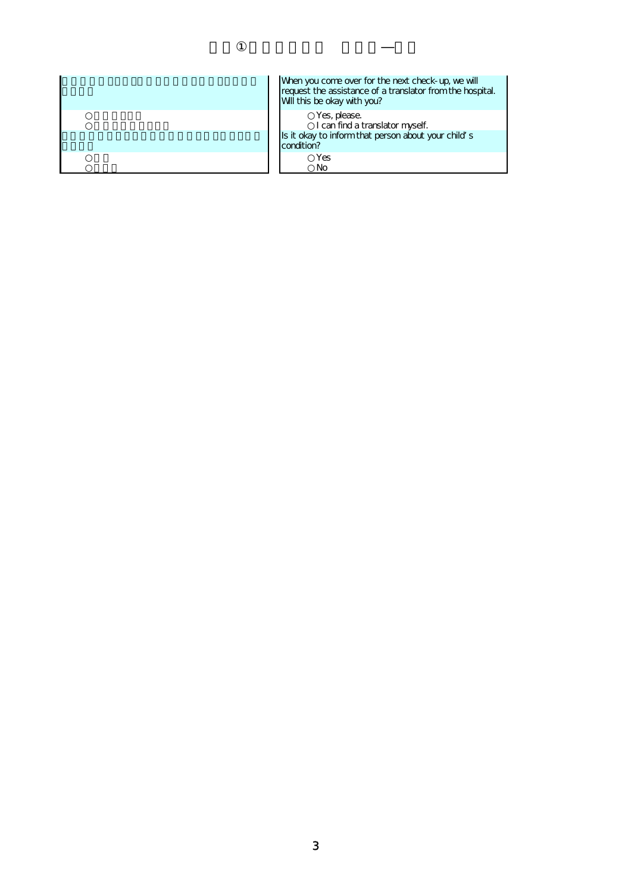| When you come over for the next check-up, we will<br>request the assistance of a translator from the hospital.<br>Will this be okay with you? |
|-----------------------------------------------------------------------------------------------------------------------------------------------|
| Yes, please.<br>I can find a translator myself.<br>Is it okay to inform that person about your child s<br>condition?                          |
| Yes<br>No                                                                                                                                     |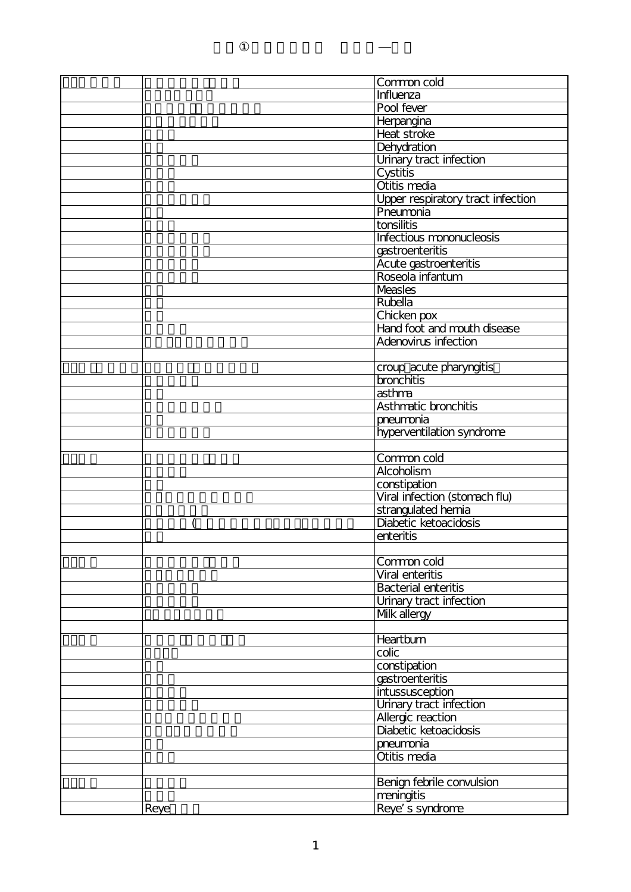|      | Common cold                                  |
|------|----------------------------------------------|
|      | Influenza                                    |
|      | Pool fever                                   |
|      | Herpangina                                   |
|      | Heat stroke                                  |
|      | Dehydration                                  |
|      | Urinary tract infection                      |
|      | Cystitis                                     |
|      | Otitis media                                 |
|      | Upper respiratory tract infection            |
|      | Pneumonia                                    |
|      | tonsilitis                                   |
|      | Infectious mononucleosis                     |
|      | gastroenteritis                              |
|      | Acute gastroenteritis                        |
|      | Roseola infantum                             |
|      | <b>Measles</b>                               |
|      | Rubella                                      |
|      | Chicken pox                                  |
|      | Hand foot and mouth disease                  |
|      | Adenovirus infection                         |
|      |                                              |
|      |                                              |
|      | croup acute pharyngitis<br><b>bronchitis</b> |
|      |                                              |
|      | asthma                                       |
|      | Asthmatic bronchitis                         |
|      | pneumonia                                    |
|      | hyperventilation syndrome                    |
|      |                                              |
|      | Common cold                                  |
|      | Alcoholism                                   |
|      | constipation                                 |
|      | Viral infection (stomach flu)                |
|      | strangulated hernia                          |
|      | Diabetic ketoacidosis                        |
|      | enteritis                                    |
|      |                                              |
|      | Common cold                                  |
|      | Viral enteritis                              |
|      | <b>Bacterial enteritis</b>                   |
|      | Urinary tract infection                      |
|      | Mlk allergy                                  |
|      |                                              |
|      | <b>Heartburn</b>                             |
|      | colic                                        |
|      | constipation                                 |
|      | gastroenteritis                              |
|      | intussusception                              |
|      | Urinary tract infection                      |
|      | Allergic reaction                            |
|      | Diabetic ketoacidosis                        |
|      | pneumonia                                    |
|      | Otitis media                                 |
|      |                                              |
|      | Benign febrile convulsion                    |
|      | meningitis                                   |
| Reye | Reye s syndrome                              |